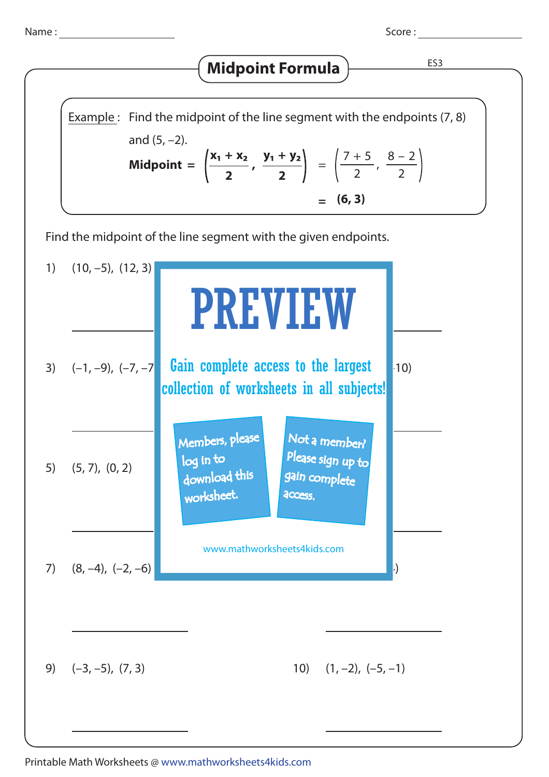